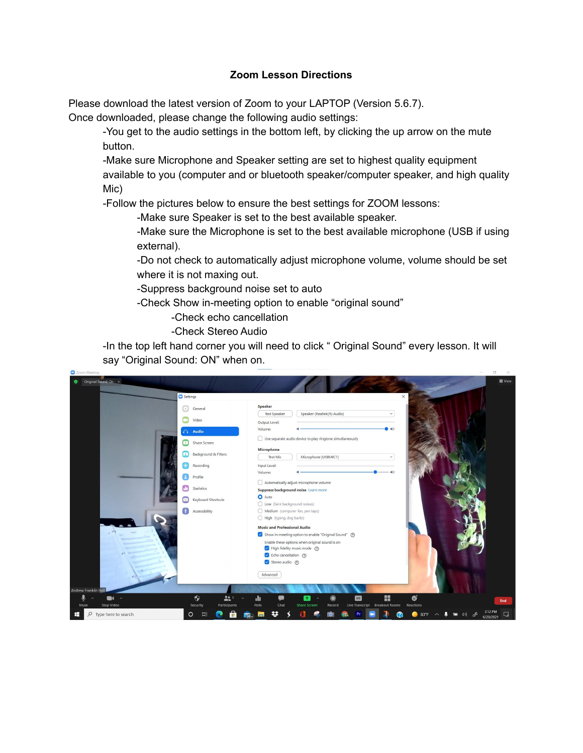## **Zoom Lesson Directions**

Please download the latest version of Zoom to your LAPTOP (Version 5.6.7).

Once downloaded, please change the following audio settings:

-You get to the audio settings in the bottom left, by clicking the up arrow on the mute button.

-Make sure Microphone and Speaker setting are set to highest quality equipment available to you (computer and or bluetooth speaker/computer speaker, and high quality Mic)

-Follow the pictures below to ensure the best settings for ZOOM lessons:

-Make sure Speaker is set to the best available speaker.

-Make sure the Microphone is set to the best available microphone (USB if using external).

-Do not check to automatically adjust microphone volume, volume should be set where it is not maxing out.

-Suppress background noise set to auto

-Check Show in-meeting option to enable "original sound"

-Check echo cancellation

-Check Stereo Audio

-In the top left hand corner you will need to click " Original Sound" every lesson. It will say "Original Sound: ON" when on.